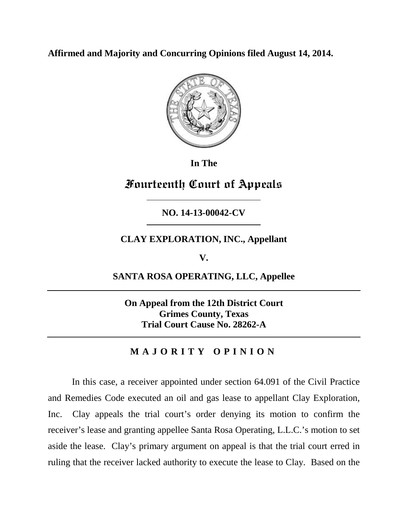**Affirmed and Majority and Concurring Opinions filed August 14, 2014.**



**In The**

# **Fourteenth Court of Appeals**

**NO. 14-13-00042-CV**

**CLAY EXPLORATION, INC., Appellant**

**V.**

**SANTA ROSA OPERATING, LLC, Appellee**

**On Appeal from the 12th District Court Grimes County, Texas Trial Court Cause No. 28262-A**

## **MAJORITY OPINION**

In this case, a receiver appointed under section 64.091 of the Civil Practice and Remedies Code executed an oil and gas lease to appellant Clay Exploration, Inc. Clay appeals the trial court's order denying its motion to confirm the receiver's lease and granting appellee Santa Rosa Operating, L.L.C.'s motion to set aside the lease. Clay's primary argument on appeal is that the trial court erred in ruling that the receiver lacked authority to execute the lease to Clay. Based on the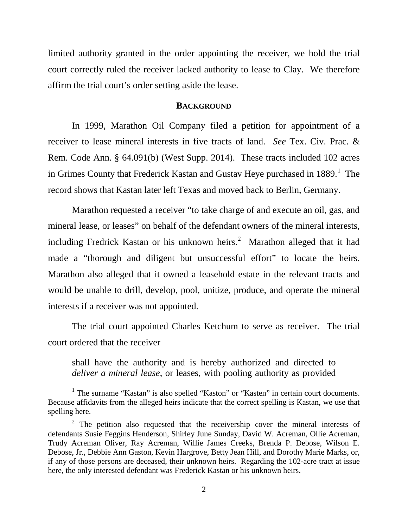limited authority granted in the order appointing the receiver, we hold the trial court correctly ruled the receiver lacked authority to lease to Clay. We therefore affirm the trial court's order setting aside the lease.

#### **BACKGROUND**

In 1999, Marathon Oil Company filed a petition for appointment of a receiver to lease mineral interests in five tracts of land. *See* Tex. Civ. Prac. & Rem. Code Ann. § 64.091(b) (West Supp. 2014). These tracts included 102 acres in Grimes County that Frederick Kastan and Gustav Heye purchased in  $1889$  $1889$ .<sup>1</sup> The record shows that Kastan later left Texas and moved back to Berlin, Germany.

Marathon requested a receiver "to take charge of and execute an oil, gas, and mineral lease, or leases" on behalf of the defendant owners of the mineral interests, including Fredrick Kastan or his unknown heirs. $^2$  $^2$  Marathon alleged that it had made a "thorough and diligent but unsuccessful effort" to locate the heirs. Marathon also alleged that it owned a leasehold estate in the relevant tracts and would be unable to drill, develop, pool, unitize, produce, and operate the mineral interests if a receiver was not appointed.

The trial court appointed Charles Ketchum to serve as receiver. The trial court ordered that the receiver

shall have the authority and is hereby authorized and directed to *deliver a mineral lease*, or leases, with pooling authority as provided

<span id="page-1-0"></span><sup>&</sup>lt;sup>1</sup> The surname "Kastan" is also spelled "Kaston" or "Kasten" in certain court documents. Because affidavits from the alleged heirs indicate that the correct spelling is Kastan, we use that spelling here.

<span id="page-1-1"></span> $2$  The petition also requested that the receivership cover the mineral interests of defendants Susie Feggins Henderson, Shirley June Sunday, David W. Acreman, Ollie Acreman, Trudy Acreman Oliver, Ray Acreman, Willie James Creeks, Brenda P. Debose, Wilson E. Debose, Jr., Debbie Ann Gaston, Kevin Hargrove, Betty Jean Hill, and Dorothy Marie Marks, or, if any of those persons are deceased, their unknown heirs. Regarding the 102-acre tract at issue here, the only interested defendant was Frederick Kastan or his unknown heirs.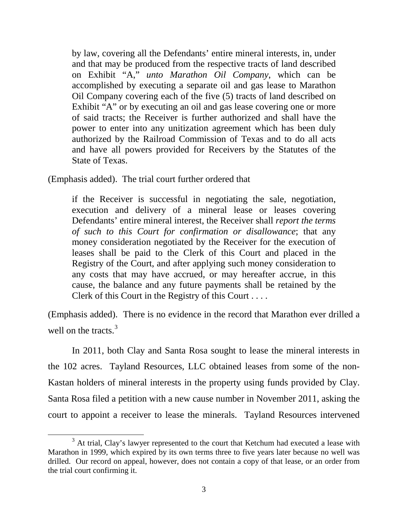by law, covering all the Defendants' entire mineral interests, in, under and that may be produced from the respective tracts of land described on Exhibit "A," *unto Marathon Oil Company*, which can be accomplished by executing a separate oil and gas lease to Marathon Oil Company covering each of the five (5) tracts of land described on Exhibit "A" or by executing an oil and gas lease covering one or more of said tracts; the Receiver is further authorized and shall have the power to enter into any unitization agreement which has been duly authorized by the Railroad Commission of Texas and to do all acts and have all powers provided for Receivers by the Statutes of the State of Texas.

(Emphasis added). The trial court further ordered that

 $\overline{a}$ 

if the Receiver is successful in negotiating the sale, negotiation, execution and delivery of a mineral lease or leases covering Defendants' entire mineral interest, the Receiver shall *report the terms of such to this Court for confirmation or disallowance*; that any money consideration negotiated by the Receiver for the execution of leases shall be paid to the Clerk of this Court and placed in the Registry of the Court, and after applying such money consideration to any costs that may have accrued, or may hereafter accrue, in this cause, the balance and any future payments shall be retained by the Clerk of this Court in the Registry of this Court . . . .

(Emphasis added). There is no evidence in the record that Marathon ever drilled a well on the tracts.<sup>[3](#page-2-0)</sup>

In 2011, both Clay and Santa Rosa sought to lease the mineral interests in the 102 acres. Tayland Resources, LLC obtained leases from some of the non-Kastan holders of mineral interests in the property using funds provided by Clay. Santa Rosa filed a petition with a new cause number in November 2011, asking the court to appoint a receiver to lease the minerals. Tayland Resources intervened

<span id="page-2-0"></span><sup>&</sup>lt;sup>3</sup> At trial, Clay's lawyer represented to the court that Ketchum had executed a lease with Marathon in 1999, which expired by its own terms three to five years later because no well was drilled. Our record on appeal, however, does not contain a copy of that lease, or an order from the trial court confirming it.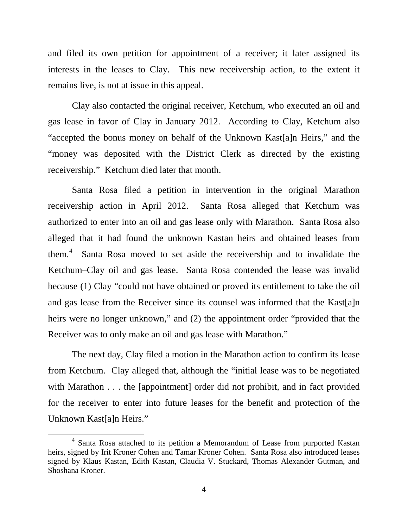and filed its own petition for appointment of a receiver; it later assigned its interests in the leases to Clay. This new receivership action, to the extent it remains live, is not at issue in this appeal.

Clay also contacted the original receiver, Ketchum, who executed an oil and gas lease in favor of Clay in January 2012. According to Clay, Ketchum also "accepted the bonus money on behalf of the Unknown Kast[a]n Heirs," and the "money was deposited with the District Clerk as directed by the existing receivership." Ketchum died later that month.

Santa Rosa filed a petition in intervention in the original Marathon receivership action in April 2012. Santa Rosa alleged that Ketchum was authorized to enter into an oil and gas lease only with Marathon. Santa Rosa also alleged that it had found the unknown Kastan heirs and obtained leases from them. [4](#page-3-0) Santa Rosa moved to set aside the receivership and to invalidate the Ketchum–Clay oil and gas lease. Santa Rosa contended the lease was invalid because (1) Clay "could not have obtained or proved its entitlement to take the oil and gas lease from the Receiver since its counsel was informed that the Kast[a]n heirs were no longer unknown," and (2) the appointment order "provided that the Receiver was to only make an oil and gas lease with Marathon."

The next day, Clay filed a motion in the Marathon action to confirm its lease from Ketchum. Clay alleged that, although the "initial lease was to be negotiated with Marathon . . . the [appointment] order did not prohibit, and in fact provided for the receiver to enter into future leases for the benefit and protection of the Unknown Kast[a]n Heirs."

<span id="page-3-0"></span><sup>4</sup> Santa Rosa attached to its petition a Memorandum of Lease from purported Kastan heirs, signed by Irit Kroner Cohen and Tamar Kroner Cohen. Santa Rosa also introduced leases signed by Klaus Kastan, Edith Kastan, Claudia V. Stuckard, Thomas Alexander Gutman, and Shoshana Kroner.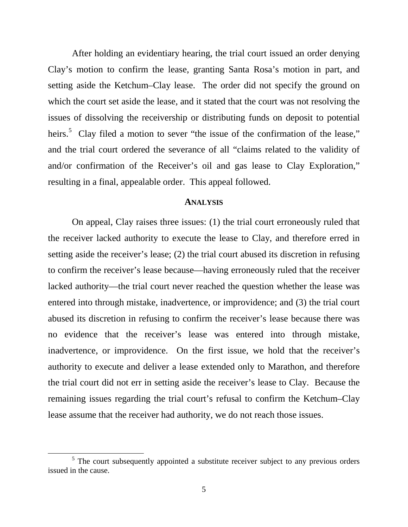After holding an evidentiary hearing, the trial court issued an order denying Clay's motion to confirm the lease, granting Santa Rosa's motion in part, and setting aside the Ketchum–Clay lease. The order did not specify the ground on which the court set aside the lease, and it stated that the court was not resolving the issues of dissolving the receivership or distributing funds on deposit to potential heirs.<sup>[5](#page-4-0)</sup> Clay filed a motion to sever "the issue of the confirmation of the lease," and the trial court ordered the severance of all "claims related to the validity of and/or confirmation of the Receiver's oil and gas lease to Clay Exploration," resulting in a final, appealable order. This appeal followed.

#### **ANALYSIS**

On appeal, Clay raises three issues: (1) the trial court erroneously ruled that the receiver lacked authority to execute the lease to Clay, and therefore erred in setting aside the receiver's lease; (2) the trial court abused its discretion in refusing to confirm the receiver's lease because—having erroneously ruled that the receiver lacked authority—the trial court never reached the question whether the lease was entered into through mistake, inadvertence, or improvidence; and (3) the trial court abused its discretion in refusing to confirm the receiver's lease because there was no evidence that the receiver's lease was entered into through mistake, inadvertence, or improvidence. On the first issue, we hold that the receiver's authority to execute and deliver a lease extended only to Marathon, and therefore the trial court did not err in setting aside the receiver's lease to Clay. Because the remaining issues regarding the trial court's refusal to confirm the Ketchum–Clay lease assume that the receiver had authority, we do not reach those issues.

 $\ddot{\phantom{a}}$ 

<span id="page-4-0"></span><sup>&</sup>lt;sup>5</sup> The court subsequently appointed a substitute receiver subject to any previous orders issued in the cause.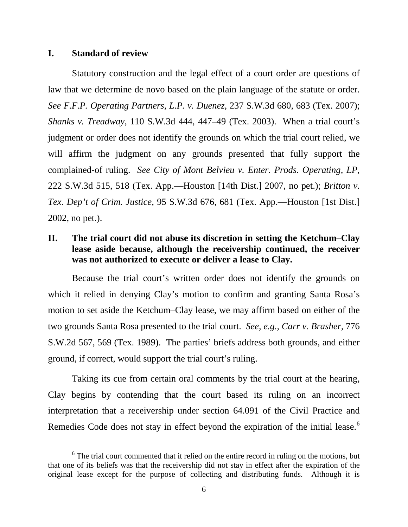#### **I. Standard of review**

Statutory construction and the legal effect of a court order are questions of law that we determine de novo based on the plain language of the statute or order. *See F.F.P. Operating Partners, L.P. v. Duenez*, 237 S.W.3d 680, 683 (Tex. 2007); *Shanks v. Treadway*, 110 S.W.3d 444, 447–49 (Tex. 2003). When a trial court's judgment or order does not identify the grounds on which the trial court relied, we will affirm the judgment on any grounds presented that fully support the complained-of ruling. *See City of Mont Belvieu v. Enter. Prods. Operating, LP*, 222 S.W.3d 515, 518 (Tex. App.—Houston [14th Dist.] 2007, no pet.); *Britton v. Tex. Dep't of Crim. Justice*, 95 S.W.3d 676, 681 (Tex. App.—Houston [1st Dist.] 2002, no pet.).

## **II. The trial court did not abuse its discretion in setting the Ketchum–Clay lease aside because, although the receivership continued, the receiver was not authorized to execute or deliver a lease to Clay.**

Because the trial court's written order does not identify the grounds on which it relied in denying Clay's motion to confirm and granting Santa Rosa's motion to set aside the Ketchum–Clay lease, we may affirm based on either of the two grounds Santa Rosa presented to the trial court. *See, e.g., Carr v. Brasher*, 776 S.W.2d 567, 569 (Tex. 1989). The parties' briefs address both grounds, and either ground, if correct, would support the trial court's ruling.

Taking its cue from certain oral comments by the trial court at the hearing, Clay begins by contending that the court based its ruling on an incorrect interpretation that a receivership under section 64.091 of the Civil Practice and Remedies Code does not stay in effect beyond the expiration of the initial lease. $6$ 

<span id="page-5-0"></span> $6$  The trial court commented that it relied on the entire record in ruling on the motions, but that one of its beliefs was that the receivership did not stay in effect after the expiration of the original lease except for the purpose of collecting and distributing funds. Although it is  $\overline{a}$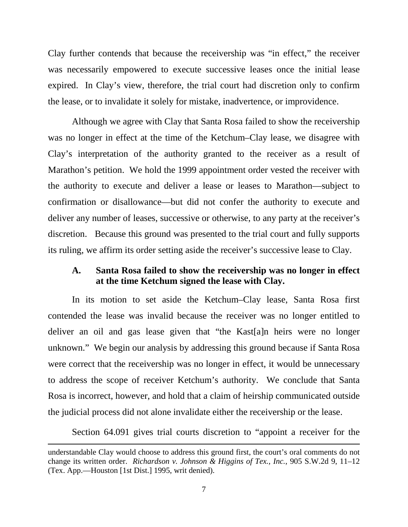Clay further contends that because the receivership was "in effect," the receiver was necessarily empowered to execute successive leases once the initial lease expired. In Clay's view, therefore, the trial court had discretion only to confirm the lease, or to invalidate it solely for mistake, inadvertence, or improvidence.

Although we agree with Clay that Santa Rosa failed to show the receivership was no longer in effect at the time of the Ketchum–Clay lease, we disagree with Clay's interpretation of the authority granted to the receiver as a result of Marathon's petition. We hold the 1999 appointment order vested the receiver with the authority to execute and deliver a lease or leases to Marathon—subject to confirmation or disallowance—but did not confer the authority to execute and deliver any number of leases, successive or otherwise, to any party at the receiver's discretion. Because this ground was presented to the trial court and fully supports its ruling, we affirm its order setting aside the receiver's successive lease to Clay.

#### **A. Santa Rosa failed to show the receivership was no longer in effect at the time Ketchum signed the lease with Clay.**

In its motion to set aside the Ketchum–Clay lease, Santa Rosa first contended the lease was invalid because the receiver was no longer entitled to deliver an oil and gas lease given that "the Kast[a]n heirs were no longer unknown." We begin our analysis by addressing this ground because if Santa Rosa were correct that the receivership was no longer in effect, it would be unnecessary to address the scope of receiver Ketchum's authority. We conclude that Santa Rosa is incorrect, however, and hold that a claim of heirship communicated outside the judicial process did not alone invalidate either the receivership or the lease.

Section 64.091 gives trial courts discretion to "appoint a receiver for the

understandable Clay would choose to address this ground first, the court's oral comments do not change its written order. *Richardson v. Johnson & Higgins of Tex., Inc.*, 905 S.W.2d 9, 11–12 (Tex. App.—Houston [1st Dist.] 1995, writ denied).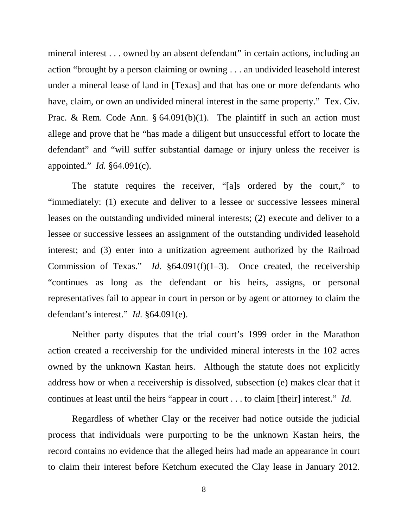mineral interest . . . owned by an absent defendant" in certain actions, including an action "brought by a person claiming or owning . . . an undivided leasehold interest under a mineral lease of land in [Texas] and that has one or more defendants who have, claim, or own an undivided mineral interest in the same property." Tex. Civ. Prac. & Rem. Code Ann. § 64.091(b)(1). The plaintiff in such an action must allege and prove that he "has made a diligent but unsuccessful effort to locate the defendant" and "will suffer substantial damage or injury unless the receiver is appointed." *Id.* §64.091(c).

The statute requires the receiver, "[a]s ordered by the court," to "immediately: (1) execute and deliver to a lessee or successive lessees mineral leases on the outstanding undivided mineral interests; (2) execute and deliver to a lessee or successive lessees an assignment of the outstanding undivided leasehold interest; and (3) enter into a unitization agreement authorized by the Railroad Commission of Texas." *Id.* §64.091(f)(1–3). Once created, the receivership "continues as long as the defendant or his heirs, assigns, or personal representatives fail to appear in court in person or by agent or attorney to claim the defendant's interest." *Id.* §64.091(e).

Neither party disputes that the trial court's 1999 order in the Marathon action created a receivership for the undivided mineral interests in the 102 acres owned by the unknown Kastan heirs. Although the statute does not explicitly address how or when a receivership is dissolved, subsection (e) makes clear that it continues at least until the heirs "appear in court . . . to claim [their] interest." *Id.*

Regardless of whether Clay or the receiver had notice outside the judicial process that individuals were purporting to be the unknown Kastan heirs, the record contains no evidence that the alleged heirs had made an appearance in court to claim their interest before Ketchum executed the Clay lease in January 2012.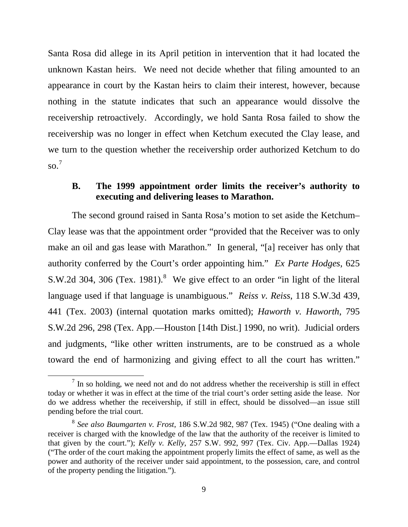Santa Rosa did allege in its April petition in intervention that it had located the unknown Kastan heirs. We need not decide whether that filing amounted to an appearance in court by the Kastan heirs to claim their interest, however, because nothing in the statute indicates that such an appearance would dissolve the receivership retroactively. Accordingly, we hold Santa Rosa failed to show the receivership was no longer in effect when Ketchum executed the Clay lease, and we turn to the question whether the receivership order authorized Ketchum to do so. [7](#page-8-0)

## **B. The 1999 appointment order limits the receiver's authority to executing and delivering leases to Marathon.**

The second ground raised in Santa Rosa's motion to set aside the Ketchum– Clay lease was that the appointment order "provided that the Receiver was to only make an oil and gas lease with Marathon." In general, "[a] receiver has only that authority conferred by the Court's order appointing him." *Ex Parte Hodges*, 625 S.W.2d 304, 306 (Tex. 19[8](#page-8-1)1). $8$  We give effect to an order "in light of the literal language used if that language is unambiguous." *Reiss v. Reiss*, 118 S.W.3d 439, 441 (Tex. 2003) (internal quotation marks omitted); *Haworth v. Haworth*, 795 S.W.2d 296, 298 (Tex. App.—Houston [14th Dist.] 1990, no writ). Judicial orders and judgments, "like other written instruments, are to be construed as a whole toward the end of harmonizing and giving effect to all the court has written."

<span id="page-8-0"></span> $<sup>7</sup>$  In so holding, we need not and do not address whether the receivership is still in effect</sup> today or whether it was in effect at the time of the trial court's order setting aside the lease. Nor do we address whether the receivership, if still in effect, should be dissolved—an issue still pending before the trial court.

<span id="page-8-1"></span><sup>8</sup> *See also Baumgarten v. Frost*, 186 S.W.2d 982, 987 (Tex. 1945) ("One dealing with a receiver is charged with the knowledge of the law that the authority of the receiver is limited to that given by the court."); *Kelly v. Kelly*, 257 S.W. 992, 997 (Tex. Civ. App.—Dallas 1924) ("The order of the court making the appointment properly limits the effect of same, as well as the power and authority of the receiver under said appointment, to the possession, care, and control of the property pending the litigation.").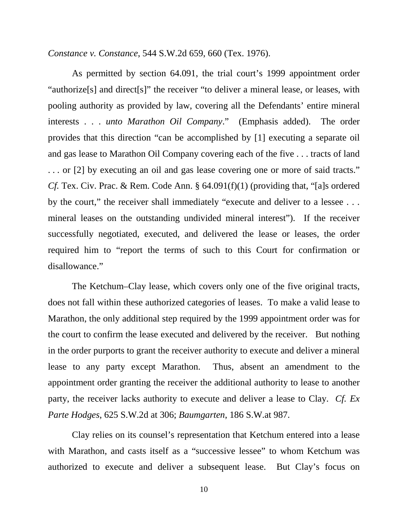*Constance v. Constance*, 544 S.W.2d 659, 660 (Tex. 1976).

As permitted by section 64.091, the trial court's 1999 appointment order "authorize[s] and direct[s]" the receiver "to deliver a mineral lease, or leases, with pooling authority as provided by law, covering all the Defendants' entire mineral interests . . . *unto Marathon Oil Company*." (Emphasis added). The order provides that this direction "can be accomplished by [1] executing a separate oil and gas lease to Marathon Oil Company covering each of the five . . . tracts of land . . . or [2] by executing an oil and gas lease covering one or more of said tracts." *Cf.* Tex. Civ. Prac. & Rem. Code Ann. § 64.091(f)(1) (providing that, "[a]s ordered by the court," the receiver shall immediately "execute and deliver to a lessee ... mineral leases on the outstanding undivided mineral interest"). If the receiver successfully negotiated, executed, and delivered the lease or leases, the order required him to "report the terms of such to this Court for confirmation or disallowance."

The Ketchum–Clay lease, which covers only one of the five original tracts, does not fall within these authorized categories of leases. To make a valid lease to Marathon, the only additional step required by the 1999 appointment order was for the court to confirm the lease executed and delivered by the receiver. But nothing in the order purports to grant the receiver authority to execute and deliver a mineral lease to any party except Marathon. Thus, absent an amendment to the appointment order granting the receiver the additional authority to lease to another party, the receiver lacks authority to execute and deliver a lease to Clay. *Cf. Ex Parte Hodges*, 625 S.W.2d at 306; *Baumgarten*, 186 S.W.at 987.

Clay relies on its counsel's representation that Ketchum entered into a lease with Marathon, and casts itself as a "successive lessee" to whom Ketchum was authorized to execute and deliver a subsequent lease. But Clay's focus on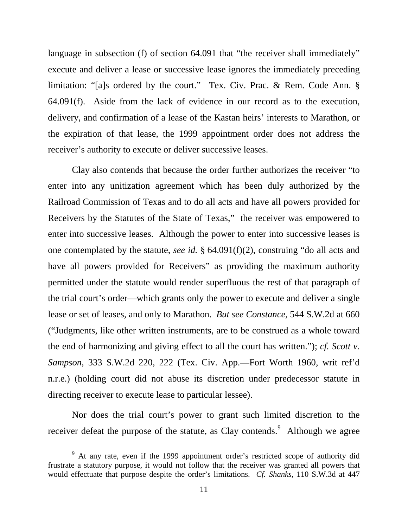language in subsection (f) of section 64.091 that "the receiver shall immediately" execute and deliver a lease or successive lease ignores the immediately preceding limitation: "[a]s ordered by the court." Tex. Civ. Prac. & Rem. Code Ann. § 64.091(f). Aside from the lack of evidence in our record as to the execution, delivery, and confirmation of a lease of the Kastan heirs' interests to Marathon, or the expiration of that lease, the 1999 appointment order does not address the receiver's authority to execute or deliver successive leases.

Clay also contends that because the order further authorizes the receiver "to enter into any unitization agreement which has been duly authorized by the Railroad Commission of Texas and to do all acts and have all powers provided for Receivers by the Statutes of the State of Texas," the receiver was empowered to enter into successive leases. Although the power to enter into successive leases is one contemplated by the statute, *see id.* § 64.091(f)(2), construing "do all acts and have all powers provided for Receivers" as providing the maximum authority permitted under the statute would render superfluous the rest of that paragraph of the trial court's order—which grants only the power to execute and deliver a single lease or set of leases, and only to Marathon. *But see Constance*, 544 S.W.2d at 660 ("Judgments, like other written instruments, are to be construed as a whole toward the end of harmonizing and giving effect to all the court has written."); *cf. Scott v. Sampson*, 333 S.W.2d 220, 222 (Tex. Civ. App.—Fort Worth 1960, writ ref'd n.r.e.) (holding court did not abuse its discretion under predecessor statute in directing receiver to execute lease to particular lessee).

Nor does the trial court's power to grant such limited discretion to the receiver defeat the purpose of the statute, as Clay contends.<sup>[9](#page-10-0)</sup> Although we agree

<span id="page-10-0"></span><sup>&</sup>lt;sup>9</sup> At any rate, even if the 1999 appointment order's restricted scope of authority did frustrate a statutory purpose, it would not follow that the receiver was granted all powers that would effectuate that purpose despite the order's limitations. *Cf. Shanks*, 110 S.W.3d at 447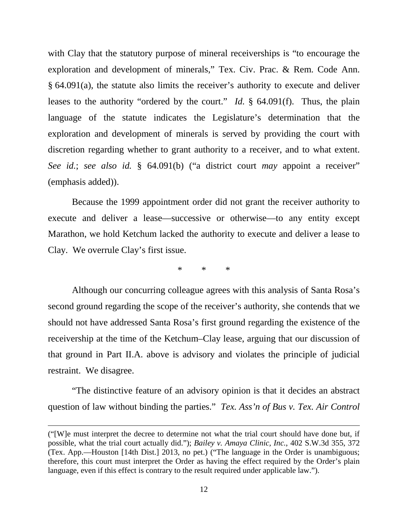with Clay that the statutory purpose of mineral receiverships is "to encourage the exploration and development of minerals," Tex. Civ. Prac. & Rem. Code Ann. § 64.091(a), the statute also limits the receiver's authority to execute and deliver leases to the authority "ordered by the court." *Id.* § 64.091(f). Thus, the plain language of the statute indicates the Legislature's determination that the exploration and development of minerals is served by providing the court with discretion regarding whether to grant authority to a receiver, and to what extent. *See id.*; *see also id.* § 64.091(b) ("a district court *may* appoint a receiver" (emphasis added)).

Because the 1999 appointment order did not grant the receiver authority to execute and deliver a lease—successive or otherwise—to any entity except Marathon, we hold Ketchum lacked the authority to execute and deliver a lease to Clay. We overrule Clay's first issue.

\* \* \*

Although our concurring colleague agrees with this analysis of Santa Rosa's second ground regarding the scope of the receiver's authority, she contends that we should not have addressed Santa Rosa's first ground regarding the existence of the receivership at the time of the Ketchum–Clay lease, arguing that our discussion of that ground in Part II.A. above is advisory and violates the principle of judicial restraint. We disagree.

"The distinctive feature of an advisory opinion is that it decides an abstract question of law without binding the parties." *Tex. Ass'n of Bus v. Tex. Air Control* 

<sup>(&</sup>quot;[W]e must interpret the decree to determine not what the trial court should have done but, if possible, what the trial court actually did."); *Bailey v. Amaya Clinic, Inc.*, 402 S.W.3d 355, 372 (Tex. App.—Houston [14th Dist.] 2013, no pet.) ("The language in the Order is unambiguous; therefore, this court must interpret the Order as having the effect required by the Order's plain language, even if this effect is contrary to the result required under applicable law.").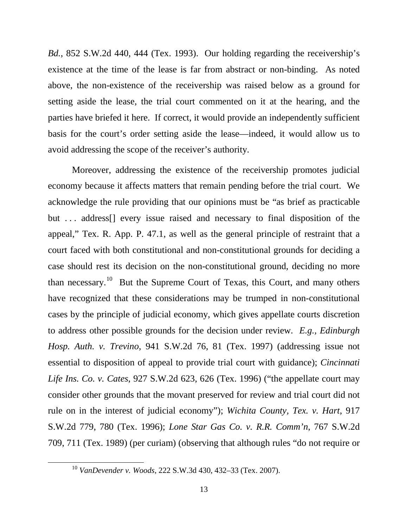*Bd.*, 852 S.W.2d 440, 444 (Tex. 1993). Our holding regarding the receivership's existence at the time of the lease is far from abstract or non-binding. As noted above, the non-existence of the receivership was raised below as a ground for setting aside the lease, the trial court commented on it at the hearing, and the parties have briefed it here. If correct, it would provide an independently sufficient basis for the court's order setting aside the lease—indeed, it would allow us to avoid addressing the scope of the receiver's authority.

Moreover, addressing the existence of the receivership promotes judicial economy because it affects matters that remain pending before the trial court. We acknowledge the rule providing that our opinions must be "as brief as practicable but ... address<sup>[]</sup> every issue raised and necessary to final disposition of the appeal," Tex. R. App. P. 47.1, as well as the general principle of restraint that a court faced with both constitutional and non-constitutional grounds for deciding a case should rest its decision on the non-constitutional ground, deciding no more than necessary.<sup>10</sup> But the Supreme Court of Texas, this Court, and many others have recognized that these considerations may be trumped in non-constitutional cases by the principle of judicial economy, which gives appellate courts discretion to address other possible grounds for the decision under review. *E.g., Edinburgh Hosp. Auth. v. Trevino*, 941 S.W.2d 76, 81 (Tex. 1997) (addressing issue not essential to disposition of appeal to provide trial court with guidance); *Cincinnati Life Ins. Co. v. Cates*, 927 S.W.2d 623, 626 (Tex. 1996) ("the appellate court may consider other grounds that the movant preserved for review and trial court did not rule on in the interest of judicial economy"); *Wichita County, Tex. v. Hart*, 917 S.W.2d 779, 780 (Tex. 1996); *Lone Star Gas Co. v. R.R. Comm'n*, 767 S.W.2d 709, 711 (Tex. 1989) (per curiam) (observing that although rules "do not require or

<span id="page-12-0"></span> $\ddot{\phantom{a}}$ 

<sup>10</sup> *VanDevender v. Woods*, 222 S.W.3d 430, 432–33 (Tex. 2007).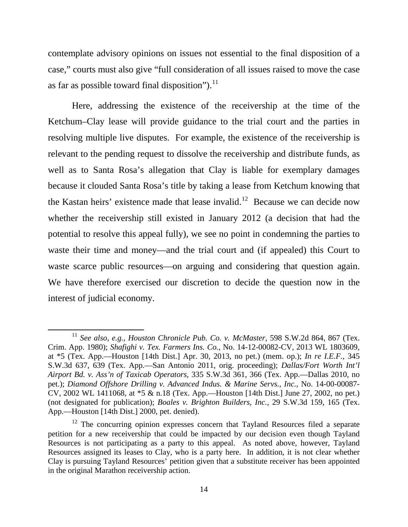contemplate advisory opinions on issues not essential to the final disposition of a case," courts must also give "full consideration of all issues raised to move the case as far as possible toward final disposition"). $^{11}$  $^{11}$  $^{11}$ 

Here, addressing the existence of the receivership at the time of the Ketchum–Clay lease will provide guidance to the trial court and the parties in resolving multiple live disputes. For example, the existence of the receivership is relevant to the pending request to dissolve the receivership and distribute funds, as well as to Santa Rosa's allegation that Clay is liable for exemplary damages because it clouded Santa Rosa's title by taking a lease from Ketchum knowing that the Kastan heirs' existence made that lease invalid.<sup>[12](#page-13-1)</sup> Because we can decide now whether the receivership still existed in January 2012 (a decision that had the potential to resolve this appeal fully), we see no point in condemning the parties to waste their time and money—and the trial court and (if appealed) this Court to waste scarce public resources—on arguing and considering that question again. We have therefore exercised our discretion to decide the question now in the interest of judicial economy.

<span id="page-13-0"></span><sup>11</sup> *See also, e.g., Houston Chronicle Pub. Co. v. McMaster*, 598 S.W.2d 864, 867 (Tex. Crim. App. 1980); *Shafighi v. Tex. Farmers Ins. Co.*, No. 14-12-00082-CV, 2013 WL 1803609, at \*5 (Tex. App.—Houston [14th Dist.] Apr. 30, 2013, no pet.) (mem. op.); *In re I.E.F.*, 345 S.W.3d 637, 639 (Tex. App.—San Antonio 2011, orig. proceeding); *Dallas/Fort Worth Int'l Airport Bd. v. Ass'n of Taxicab Operators*, 335 S.W.3d 361, 366 (Tex. App.—Dallas 2010, no pet.); *Diamond Offshore Drilling v. Advanced Indus. & Marine Servs., Inc.*, No. 14-00-00087- CV, 2002 WL 1411068, at \*5 & n.18 (Tex. App.—Houston [14th Dist.] June 27, 2002, no pet.) (not designated for publication); *Boales v. Brighton Builders, Inc.*, 29 S.W.3d 159, 165 (Tex. App.—Houston [14th Dist.] 2000, pet. denied).

<span id="page-13-1"></span> $12$  The concurring opinion expresses concern that Tayland Resources filed a separate petition for a new receivership that could be impacted by our decision even though Tayland Resources is not participating as a party to this appeal. As noted above, however, Tayland Resources assigned its leases to Clay, who is a party here. In addition, it is not clear whether Clay is pursuing Tayland Resources' petition given that a substitute receiver has been appointed in the original Marathon receivership action.